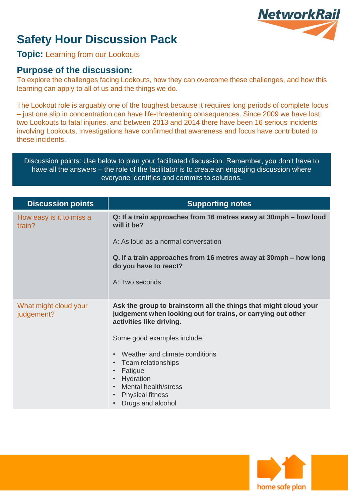# **NetworkRail**

## **Safety Hour Discussion Pack**

#### **Topic:** Learning from our Lookouts

#### **Purpose of the discussion:**

To explore the challenges facing Lookouts, how they can overcome these challenges, and how this learning can apply to all of us and the things we do.

The Lookout role is arguably one of the toughest because it requires long periods of complete focus – just one slip in concentration can have life-threatening consequences. Since 2009 we have lost two Lookouts to fatal injuries, and between 2013 and 2014 there have been 16 serious incidents involving Lookouts. Investigations have confirmed that awareness and focus have contributed to these incidents.

Discussion points: Use below to plan your facilitated discussion. Remember, you don't have to have all the answers – the role of the facilitator is to create an engaging discussion where everyone identifies and commits to solutions.

| <b>Discussion points</b>            | <b>Supporting notes</b>                                                                                                                                           |
|-------------------------------------|-------------------------------------------------------------------------------------------------------------------------------------------------------------------|
| How easy is it to miss a<br>train?  | Q: If a train approaches from 16 metres away at 30mph – how loud<br>will it be?                                                                                   |
|                                     | A: As loud as a normal conversation                                                                                                                               |
|                                     | Q. If a train approaches from 16 metres away at 30mph – how long<br>do you have to react?                                                                         |
|                                     | A: Two seconds                                                                                                                                                    |
| What might cloud your<br>judgement? | Ask the group to brainstorm all the things that might cloud your<br>judgement when looking out for trains, or carrying out other<br>activities like driving.      |
|                                     | Some good examples include:                                                                                                                                       |
|                                     | Weather and climate conditions<br>Team relationships<br>$\bullet$<br>Fatigue<br>Hydration<br>Mental health/stress<br><b>Physical fitness</b><br>Drugs and alcohol |